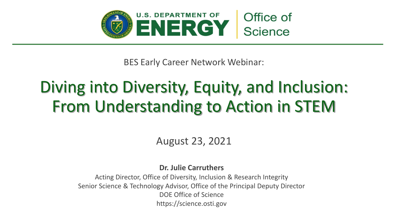

BES Early Career Network Webinar:

# Diving into Diversity, Equity, and Inclusion: From Understanding to Action in STEM

#### August 23, 2021

#### **Dr. Julie Carruthers**

Acting Director, Office of Diversity, Inclusion & Research Integrity Senior Science & Technology Advisor, Office of the Principal Deputy Director DOE Office of Science https://science.osti.gov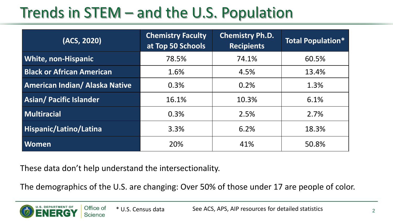## Trends in STEM – and the U.S. Population

| (ACS, 2020)                           | <b>Chemistry Faculty</b><br>at Top 50 Schools | <b>Chemistry Ph.D.</b><br><b>Recipients</b> | <b>Total Population*</b> |
|---------------------------------------|-----------------------------------------------|---------------------------------------------|--------------------------|
| <b>White, non-Hispanic</b>            | 78.5%                                         | 74.1%                                       | 60.5%                    |
| <b>Black or African American</b>      | 1.6%                                          | 4.5%                                        | 13.4%                    |
| <b>American Indian/ Alaska Native</b> | 0.3%                                          | 0.2%                                        | 1.3%                     |
| <b>Asian/ Pacific Islander</b>        | 16.1%                                         | 10.3%                                       | 6.1%                     |
| Multiracial                           | 0.3%                                          | 2.5%                                        | 2.7%                     |
| Hispanic/Latino/Latina                | 3.3%                                          | 6.2%                                        | 18.3%                    |
| <b>Women</b>                          | 20%                                           | 41%                                         | 50.8%                    |

These data don't help understand the intersectionality.

The demographics of the U.S. are changing: Over 50% of those under 17 are people of color.

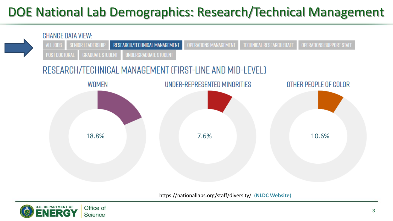#### DOE National Lab Demographics: Research/Technical Management



https://nationallabs.org/staff/diversity/ (**NLDC Website**)

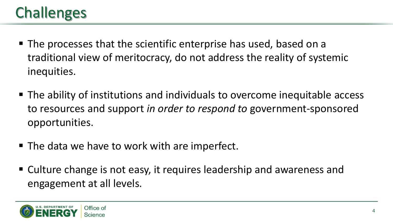#### Challenges

- The processes that the scientific enterprise has used, based on a traditional view of meritocracy, do not address the reality of systemic inequities.
- The ability of institutions and individuals to overcome inequitable access to resources and support *in order to respond to* government-sponsored opportunities.
- The data we have to work with are imperfect.
- Culture change is not easy, it requires leadership and awareness and engagement at all levels.